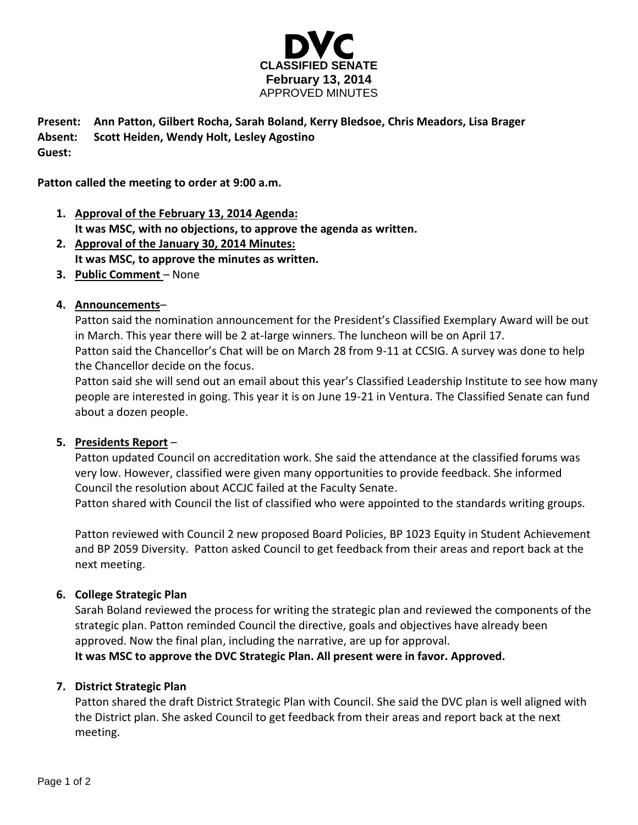

**Present: Ann Patton, Gilbert Rocha, Sarah Boland, Kerry Bledsoe, Chris Meadors, Lisa Brager Absent: Scott Heiden, Wendy Holt, Lesley Agostino Guest:**

**Patton called the meeting to order at 9:00 a.m.**

- **1. Approval of the February 13, 2014 Agenda: It was MSC, with no objections, to approve the agenda as written.**
- **2. Approval of the January 30, 2014 Minutes: It was MSC, to approve the minutes as written.**
- **3. Public Comment** None

## **4. Announcements**–

Patton said the nomination announcement for the President's Classified Exemplary Award will be out in March. This year there will be 2 at-large winners. The luncheon will be on April 17. Patton said the Chancellor's Chat will be on March 28 from 9-11 at CCSIG. A survey was done to help the Chancellor decide on the focus.

Patton said she will send out an email about this year's Classified Leadership Institute to see how many people are interested in going. This year it is on June 19-21 in Ventura. The Classified Senate can fund about a dozen people.

### **5. Presidents Report** –

Patton updated Council on accreditation work. She said the attendance at the classified forums was very low. However, classified were given many opportunities to provide feedback. She informed Council the resolution about ACCJC failed at the Faculty Senate.

Patton shared with Council the list of classified who were appointed to the standards writing groups.

Patton reviewed with Council 2 new proposed Board Policies, BP 1023 Equity in Student Achievement and BP 2059 Diversity. Patton asked Council to get feedback from their areas and report back at the next meeting.

### **6. College Strategic Plan**

Sarah Boland reviewed the process for writing the strategic plan and reviewed the components of the strategic plan. Patton reminded Council the directive, goals and objectives have already been approved. Now the final plan, including the narrative, are up for approval. **It was MSC to approve the DVC Strategic Plan. All present were in favor. Approved.** 

#### **7. District Strategic Plan**

Patton shared the draft District Strategic Plan with Council. She said the DVC plan is well aligned with the District plan. She asked Council to get feedback from their areas and report back at the next meeting.